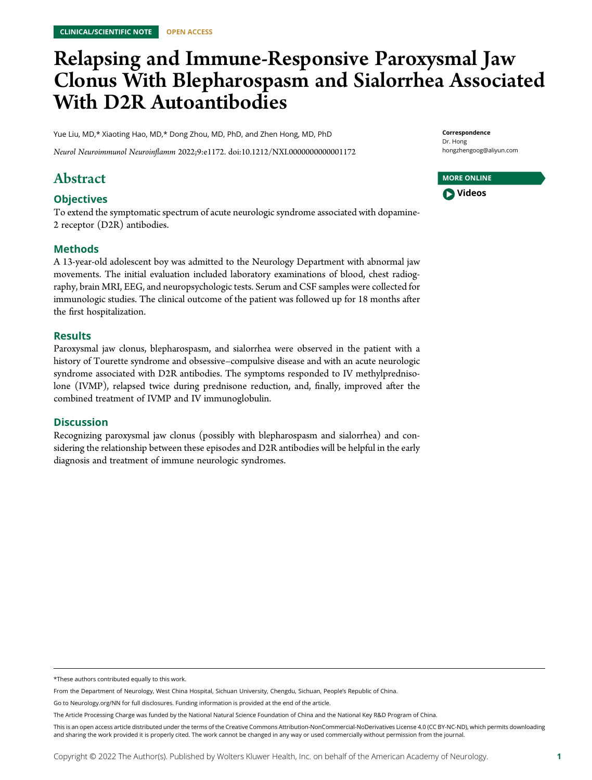# Relapsing and Immune-Responsive Paroxysmal Jaw Clonus With Blepharospasm and Sialorrhea Associated With D2R Autoantibodies

Yue Liu, MD,\* Xiaoting Hao, MD,\* Dong Zhou, MD, PhD, and Zhen Hong, MD, PhD

Neurol Neuroimmunol Neuroinflamm 2022;9:e1172. doi[:10.1212/NXI.0000000000001172](http://dx.doi.org/10.1212/NXI.0000000000001172)

## Abstract

#### **Objectives**

To extend the symptomatic spectrum of acute neurologic syndrome associated with dopamine-2 receptor (D2R) antibodies.

#### Methods

A 13-year-old adolescent boy was admitted to the Neurology Department with abnormal jaw movements. The initial evaluation included laboratory examinations of blood, chest radiography, brain MRI, EEG, and neuropsychologic tests. Serum and CSF samples were collected for immunologic studies. The clinical outcome of the patient was followed up for 18 months after the first hospitalization.

#### **Results**

Paroxysmal jaw clonus, blepharospasm, and sialorrhea were observed in the patient with a history of Tourette syndrome and obsessive–compulsive disease and with an acute neurologic syndrome associated with D2R antibodies. The symptoms responded to IV methylprednisolone (IVMP), relapsed twice during prednisone reduction, and, finally, improved after the combined treatment of IVMP and IV immunoglobulin.

#### **Discussion**

Recognizing paroxysmal jaw clonus (possibly with blepharospasm and sialorrhea) and considering the relationship between these episodes and D2R antibodies will be helpful in the early diagnosis and treatment of immune neurologic syndromes.

Correspondence Dr. Hong [hongzhengoog@aliyun.com](mailto:hongzhengoog@aliyun.com)

| <b>MORE ONLINE</b> |  |
|--------------------|--|
| <b>D</b> Videos    |  |

<sup>\*</sup>These authors contributed equally to this work.

From the Department of Neurology, West China Hospital, Sichuan University, Chengdu, Sichuan, People's Republic of China.

Go to [Neurology.org/NN](https://nn.neurology.org/content/9/4/e172/tab-article-info) for full disclosures. Funding information is provided at the end of the article.

The Article Processing Charge was funded by the National Natural Science Foundation of China and the National Key R&D Program of China.

This is an open access article distributed under the terms of the [Creative Commons Attribution-NonCommercial-NoDerivatives License 4.0 \(CC BY-NC-ND\),](http://creativecommons.org/licenses/by-nc-nd/4.0/) which permits downloading and sharing the work provided it is properly cited. The work cannot be changed in any way or used commercially without permission from the journal.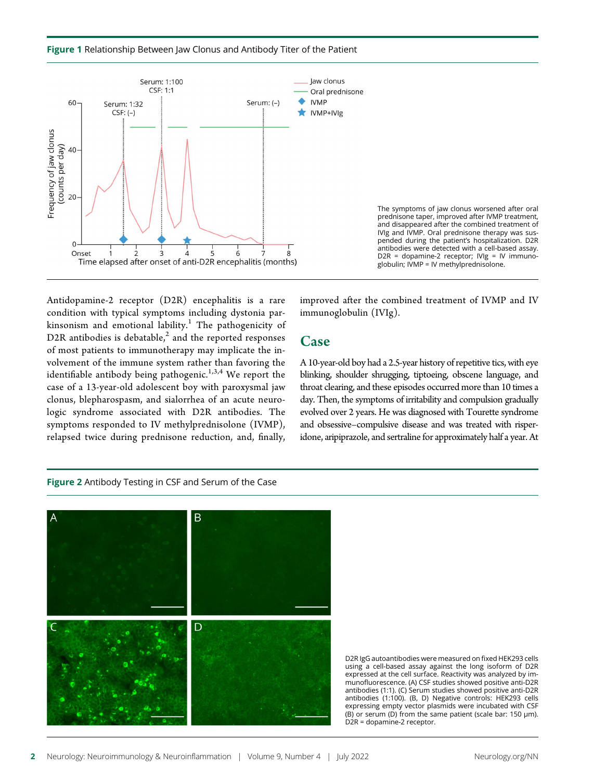



Antidopamine-2 receptor (D2R) encephalitis is a rare condition with typical symptoms including dystonia parkinsonism and emotional lability. $^1$  The pathogenicity of D2R antibodies is debatable, $^2$  and the reported responses of most patients to immunotherapy may implicate the involvement of the immune system rather than favoring the identifiable antibody being pathogenic.<sup>1,3,4</sup> We report the case of a 13-year-old adolescent boy with paroxysmal jaw clonus, blepharospasm, and sialorrhea of an acute neurologic syndrome associated with D2R antibodies. The symptoms responded to IV methylprednisolone (IVMP), relapsed twice during prednisone reduction, and, finally,

improved after the combined treatment of IVMP and IV immunoglobulin (IVIg).

#### Case

A 10-year-old boy had a 2.5-year history of repetitive tics, with eye blinking, shoulder shrugging, tiptoeing, obscene language, and throat clearing, and these episodes occurred more than 10 times a day. Then, the symptoms of irritability and compulsion gradually evolved over 2 years. He was diagnosed with Tourette syndrome and obsessive–compulsive disease and was treated with risperidone, aripiprazole, and sertraline for approximately half a year. At

#### Figure 2 Antibody Testing in CSF and Serum of the Case



D2R IgG autoantibodies were measured on fixed HEK293 cells using a cell-based assay against the long isoform of D2R expressed at the cell surface. Reactivity was analyzed by immunofluorescence. (A) CSF studies showed positive anti-D2R antibodies (1:1). (C) Serum studies showed positive anti-D2R antibodies (1:100). (B, D) Negative controls: HEK293 cells expressing empty vector plasmids were incubated with CSF (B) or serum (D) from the same patient (scale bar: 150 μm). D2R = dopamine-2 receptor.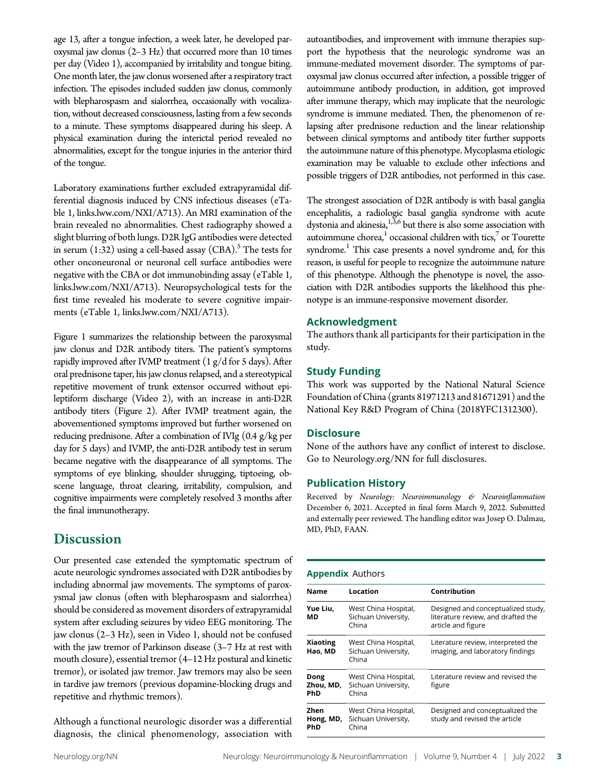age 13, after a tongue infection, a week later, he developed paroxysmal jaw clonus (2–3 Hz) that occurred more than 10 times per day (Video 1), accompanied by irritability and tongue biting. One month later, the jaw clonus worsened after a respiratory tract infection. The episodes included sudden jaw clonus, commonly with blepharospasm and sialorrhea, occasionally with vocalization, without decreased consciousness, lasting from a few seconds to a minute. These symptoms disappeared during his sleep. A physical examination during the interictal period revealed no abnormalities, except for the tongue injuries in the anterior third of the tongue.

Laboratory examinations further excluded extrapyramidal differential diagnosis induced by CNS infectious diseases (eTable 1, [links.lww.com/NXI/A713\)](http://links.lww.com/NXI/A713). An MRI examination of the brain revealed no abnormalities. Chest radiography showed a slight blurring of both lungs. D2R IgG antibodies were detected in serum  $(1:32)$  using a cell-based assay  $(CBA)$ .<sup>5</sup> The tests for other onconeuronal or neuronal cell surface antibodies were negative with the CBA or dot immunobinding assay (eTable 1, [links.lww.com/NXI/A713](http://links.lww.com/NXI/A713)). Neuropsychological tests for the first time revealed his moderate to severe cognitive impairments (eTable 1, [links.lww.com/NXI/A713\)](http://links.lww.com/NXI/A713).

Figure 1 summarizes the relationship between the paroxysmal jaw clonus and D2R antibody titers. The patient's symptoms rapidly improved after IVMP treatment  $(1 g/d$  for 5 days). After oral prednisone taper, his jaw clonus relapsed, and a stereotypical repetitive movement of trunk extensor occurred without epileptiform discharge (Video 2), with an increase in anti-D2R antibody titers (Figure 2). After IVMP treatment again, the abovementioned symptoms improved but further worsened on reducing prednisone. After a combination of IVIg (0.4 g/kg per day for 5 days) and IVMP, the anti-D2R antibody test in serum became negative with the disappearance of all symptoms. The symptoms of eye blinking, shoulder shrugging, tiptoeing, obscene language, throat clearing, irritability, compulsion, and cognitive impairments were completely resolved 3 months after the final immunotherapy.

### **Discussion**

Our presented case extended the symptomatic spectrum of acute neurologic syndromes associated with D2R antibodies by including abnormal jaw movements. The symptoms of paroxysmal jaw clonus (often with blepharospasm and sialorrhea) should be considered as movement disorders of extrapyramidal system after excluding seizures by video EEG monitoring. The jaw clonus (2–3 Hz), seen in Video 1, should not be confused with the jaw tremor of Parkinson disease (3–7 Hz at rest with mouth closure), essential tremor (4–12 Hz postural and kinetic tremor), or isolated jaw tremor. Jaw tremors may also be seen in tardive jaw tremors (previous dopamine-blocking drugs and repetitive and rhythmic tremors).

Although a functional neurologic disorder was a differential diagnosis, the clinical phenomenology, association with autoantibodies, and improvement with immune therapies support the hypothesis that the neurologic syndrome was an immune-mediated movement disorder. The symptoms of paroxysmal jaw clonus occurred after infection, a possible trigger of autoimmune antibody production, in addition, got improved after immune therapy, which may implicate that the neurologic syndrome is immune mediated. Then, the phenomenon of relapsing after prednisone reduction and the linear relationship between clinical symptoms and antibody titer further supports the autoimmune nature of this phenotype. Mycoplasma etiologic examination may be valuable to exclude other infections and possible triggers of D2R antibodies, not performed in this case.

The strongest association of D2R antibody is with basal ganglia encephalitis, a radiologic basal ganglia syndrome with acute dystonia and akinesia, $1,3,6$  but there is also some association with autoimmune chorea, $1$  occasional children with tics, $7$  or Tourette syndrome.<sup>1</sup> This case presents a novel syndrome and, for this reason, is useful for people to recognize the autoimmune nature of this phenotype. Although the phenotype is novel, the association with D2R antibodies supports the likelihood this phenotype is an immune-responsive movement disorder.

#### Acknowledgment

The authors thank all participants for their participation in the study.

#### Study Funding

This work was supported by the National Natural Science Foundation of China (grants 81971213 and 81671291) and the National Key R&D Program of China (2018YFC1312300).

#### **Disclosure**

None of the authors have any conflict of interest to disclose. Go to [Neurology.org/NN](https://nn.neurology.org/content/9/4/e172/tab-article-info) for full disclosures.

#### Publication History

Received by Neurology: Neuroimmunology & Neuroinflammation December 6, 2021. Accepted in final form March 9, 2022. Submitted and externally peer reviewed. The handling editor was Josep O. Dalmau, MD, PhD, FAAN.

#### Appendix Authors

| <b>Name</b>                | Location                                             | Contribution                                                                                   |
|----------------------------|------------------------------------------------------|------------------------------------------------------------------------------------------------|
| Yue Liu,<br>МD             | West China Hospital,<br>Sichuan University,<br>China | Designed and conceptualized study,<br>literature review, and drafted the<br>article and figure |
| <b>Xiaoting</b><br>Hao, MD | West China Hospital,<br>Sichuan University,<br>China | Literature review, interpreted the<br>imaging, and laboratory findings                         |
| Dong<br>Zhou, MD,<br>PhD   | West China Hospital,<br>Sichuan University,<br>China | Literature review and revised the<br>figure                                                    |
| Zhen<br>Hong, MD,<br>PhD   | West China Hospital,<br>Sichuan University,<br>China | Designed and conceptualized the<br>study and revised the article                               |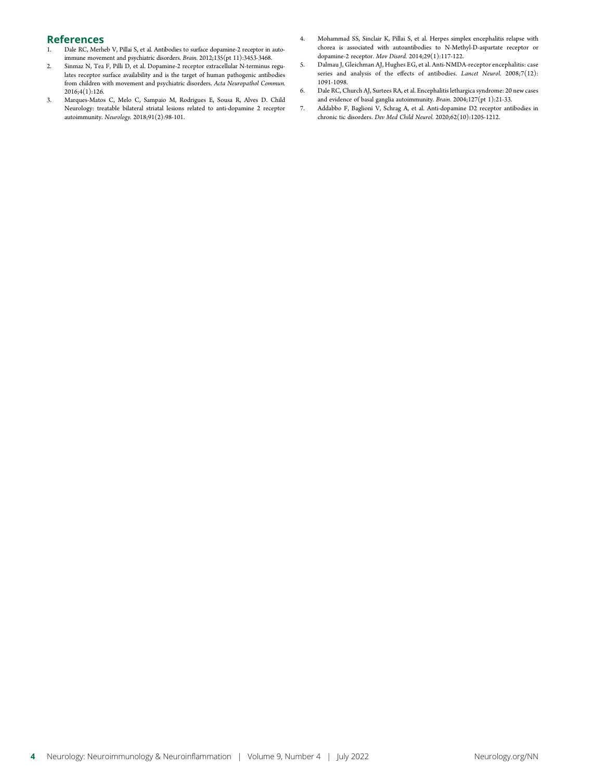## References<br>1. Dale RC, Merh

- Dale RC, Merheb V, Pillai S, et al. Antibodies to surface dopamine-2 receptor in autoimmune movement and psychiatric disorders. Brain. 2012;135(pt 11):3453-3468.
- 2. Sinmaz N, Tea F, Pilli D, et al. Dopamine-2 receptor extracellular N-terminus regulates receptor surface availability and is the target of human pathogenic antibodies from children with movement and psychiatric disorders. Acta Neuropathol Commun. 2016;4(1):126.
- 3. Marques-Matos C, Melo C, Sampaio M, Rodrigues E, Sousa R, Alves D. Child Neurology: treatable bilateral striatal lesions related to anti-dopamine 2 receptor autoimmunity. Neurology. 2018;91(2):98-101.
- 4. Mohammad SS, Sinclair K, Pillai S, et al. Herpes simplex encephalitis relapse with chorea is associated with autoantibodies to N-Methyl-D-aspartate receptor or dopamine-2 receptor. Mov Disord. 2014;29(1):117-122.
- 5. Dalmau J, Gleichman AJ, Hughes EG, et al. Anti-NMDA-receptor encephalitis: case series and analysis of the effects of antibodies. Lancet Neurol. 2008;7(12): 1091-1098.
- 6. Dale RC, Church AJ, Surtees RA, et al. Encephalitis lethargica syndrome: 20 new cases and evidence of basal ganglia autoimmunity. Brain. 2004;127(pt 1):21-33.
- 7. Addabbo F, Baglioni V, Schrag A, et al. Anti-dopamine D2 receptor antibodies in chronic tic disorders. Dev Med Child Neurol. 2020;62(10):1205-1212.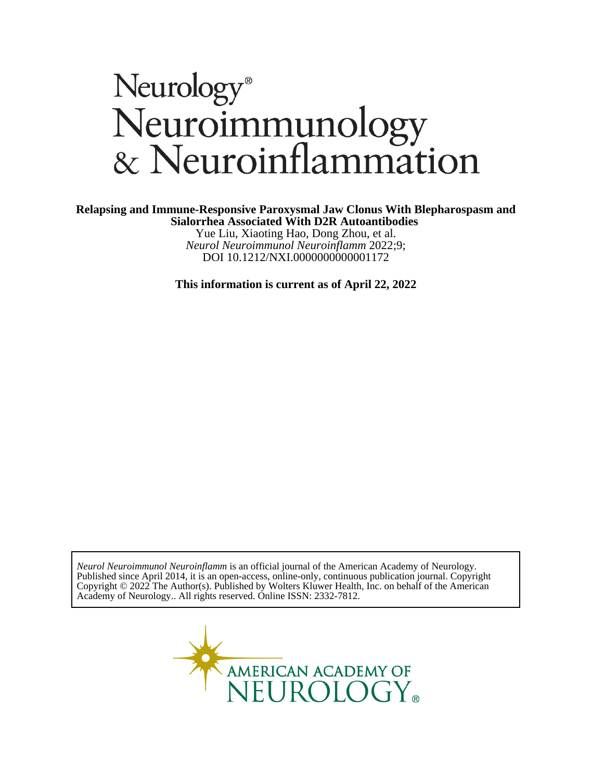# Neurology®<br>Neuroimmunology<br>& Neuroinflammation

#### **Sialorrhea Associated With D2R Autoantibodies Relapsing and Immune-Responsive Paroxysmal Jaw Clonus With Blepharospasm and**

DOI 10.1212/NXI.0000000000001172 *Neurol Neuroimmunol Neuroinflamm* 2022;9; Yue Liu, Xiaoting Hao, Dong Zhou, et al.

**This information is current as of April 22, 2022**

Academy of Neurology.. All rights reserved. Online ISSN: 2332-7812. Copyright © 2022 The Author(s). Published by Wolters Kluwer Health, Inc. on behalf of the American Published since April 2014, it is an open-access, online-only, continuous publication journal. Copyright *Neurol Neuroimmunol Neuroinflamm* is an official journal of the American Academy of Neurology.